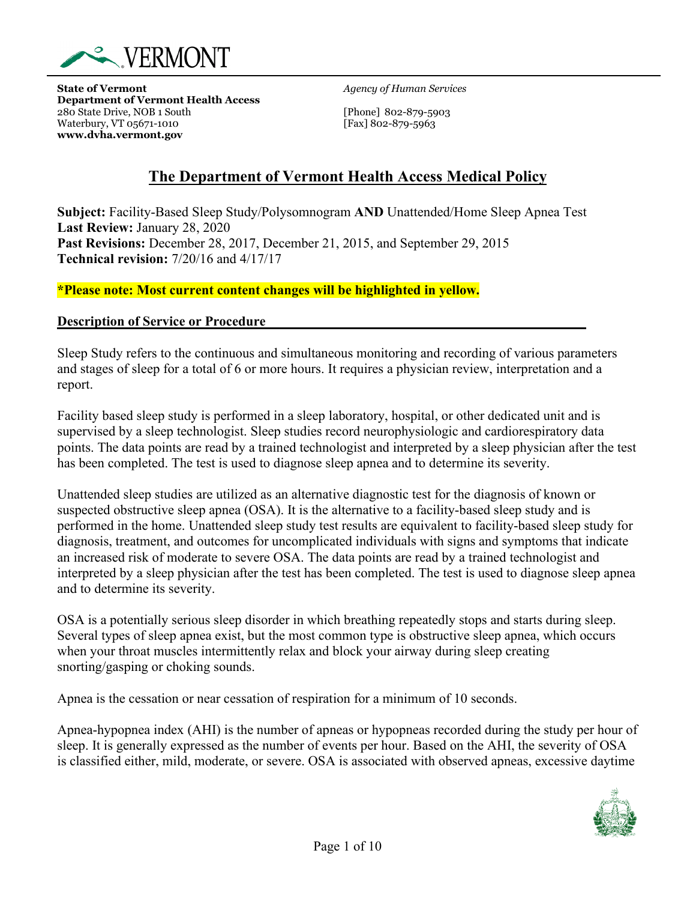

**State of Vermont** *Agency of Human Services* **Department of Vermont Health Access** 280 State Drive, NOB 1 South [Phone] 802-879-5903<br>Waterbury, VT 05671-1010 [Fax] 802-879-5963 Waterbury, VT 05671-1010 **www.dvha.vermont.gov**

# **The Department of Vermont Health Access Medical Policy**

**Subject:** Facility-Based Sleep Study/Polysomnogram **AND** Unattended/Home Sleep Apnea Test **Last Review:** January 28, 2020 **Past Revisions:** December 28, 2017, December 21, 2015, and September 29, 2015 **Technical revision:** 7/20/16 and 4/17/17

#### **\*Please note: Most current content changes will be highlighted in yellow.**

#### **Description of Service or Procedure**

Sleep Study refers to the continuous and simultaneous monitoring and recording of various parameters and stages of sleep for a total of 6 or more hours. It requires a physician review, interpretation and a report.

Facility based sleep study is performed in a sleep laboratory, hospital, or other dedicated unit and is supervised by a sleep technologist. Sleep studies record neurophysiologic and cardiorespiratory data points. The data points are read by a trained technologist and interpreted by a sleep physician after the test has been completed. The test is used to diagnose sleep apnea and to determine its severity.

Unattended sleep studies are utilized as an alternative diagnostic test for the diagnosis of known or suspected obstructive sleep apnea (OSA). It is the alternative to a facility-based sleep study and is performed in the home. Unattended sleep study test results are equivalent to facility-based sleep study for diagnosis, treatment, and outcomes for uncomplicated individuals with signs and symptoms that indicate an increased risk of moderate to severe OSA. The data points are read by a trained technologist and interpreted by a sleep physician after the test has been completed. The test is used to diagnose sleep apnea and to determine its severity.

OSA is a potentially serious sleep disorder in which breathing repeatedly stops and starts during sleep. Several types of sleep apnea exist, but the most common type is obstructive sleep apnea, which occurs when your throat muscles intermittently relax and block your airway during sleep creating snorting/gasping or choking sounds.

Apnea is the cessation or near cessation of respiration for a minimum of 10 seconds.

Apnea-hypopnea index (AHI) is the number of [apneas or hypopneas](http://healthysleep.med.harvard.edu/sleep-apnea/what-is-osa/what-happens) recorded during the study per hour of sleep. It is generally expressed as the number of events per hour. Based on the AHI, the severity of OSA is classified either, mild, moderate, or severe. OSA is associated with observed apneas, excessive daytime

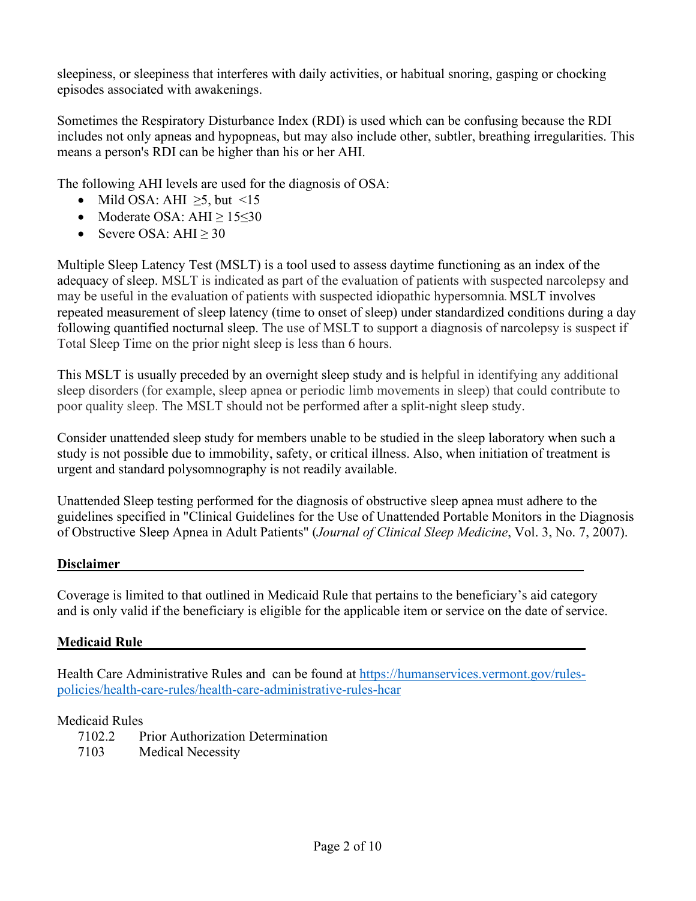sleepiness, or sleepiness that interferes with daily activities, or habitual snoring, gasping or chocking episodes associated with awakenings.

Sometimes the Respiratory Disturbance Index (RDI) is used which can be confusing because the RDI includes not only apneas and hypopneas, but may also include other, subtler, breathing irregularities. This means a person's RDI can be higher than his or her AHI.

The following AHI levels are used for the diagnosis of OSA:

- Mild OSA: AHI  $\geq$ 5, but <15
- Moderate OSA: AHI  $\geq 15 \leq 30$
- Severe OSA: AHI  $\geq$  30

Multiple Sleep Latency Test (MSLT) is a tool used to assess daytime functioning as an index of the adequacy of sleep. MSLT is indicated as part of the evaluation of patients with suspected narcolepsy and may be useful in the evaluation of patients with suspected idiopathic hypersomnia. MSLT involves repeated measurement of sleep latency (time to onset of sleep) under standardized conditions during a day following quantified nocturnal sleep. The use of MSLT to support a diagnosis of narcolepsy is suspect if Total Sleep Time on the prior night sleep is less than 6 hours.

This MSLT is usually preceded by an overnight sleep study and is helpful in identifying any additional sleep disorders (for example, sleep apnea or periodic limb movements in sleep) that could contribute to poor quality sleep. The MSLT should not be performed after a split-night sleep study.

Consider unattended sleep study for members unable to be studied in the sleep laboratory when such a study is not possible due to immobility, safety, or critical illness. Also, when initiation of treatment is urgent and standard polysomnography is not readily available.

Unattended Sleep testing performed for the diagnosis of obstructive sleep apnea must adhere to the guidelines specified in "Clinical Guidelines for the Use of Unattended Portable Monitors in the Diagnosis of Obstructive Sleep Apnea in Adult Patients" (*Journal of Clinical Sleep Medicine*, Vol. 3, No. 7, 2007).

#### Disclaimer

Coverage is limited to that outlined in Medicaid Rule that pertains to the beneficiary's aid category and is only valid if the beneficiary is eligible for the applicable item or service on the date of service.

# **Medicaid Rule**

Health Care Administrative Rules and can be found at [https://humanservices.vermont.gov/rules](https://humanservices.vermont.gov/rules-policies/health-care-rules/health-care-administrative-rules-hcar)[policies/health-care-rules/health-care-administrative-rules-hcar](https://humanservices.vermont.gov/rules-policies/health-care-rules/health-care-administrative-rules-hcar)

#### Medicaid Rules

7102.2 Prior Authorization Determination 7103 Medical Necessity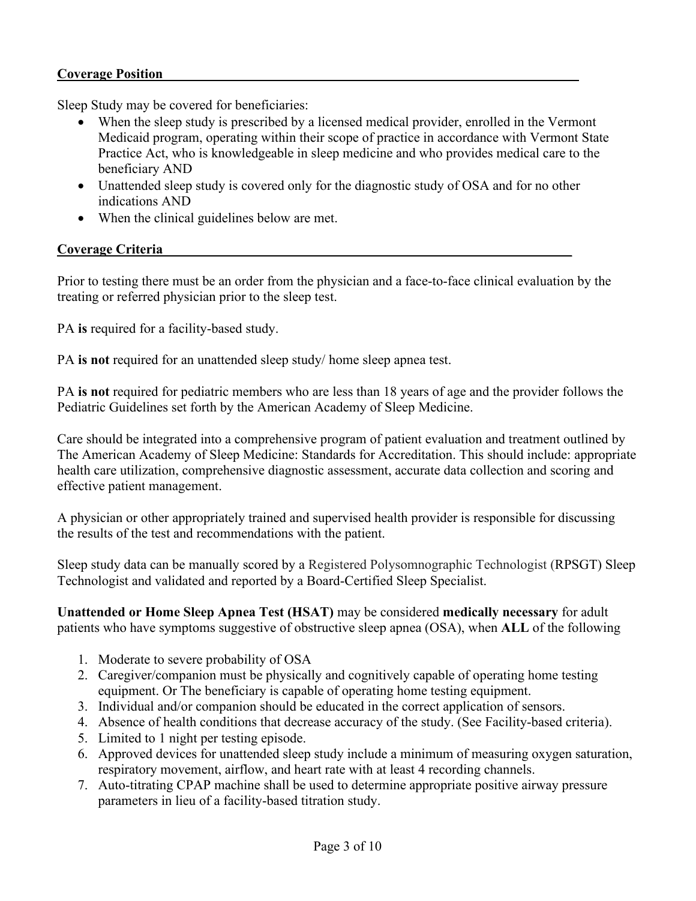#### **Coverage Position**

Sleep Study may be covered for beneficiaries:

- When the sleep study is prescribed by a licensed medical provider, enrolled in the Vermont Medicaid program, operating within their scope of practice in accordance with Vermont State Practice Act, who is knowledgeable in sleep medicine and who provides medical care to the beneficiary AND
- Unattended sleep study is covered only for the diagnostic study of OSA and for no other indications AND
- When the clinical guidelines below are met.

### **Coverage Criteria\_\_\_\_\_\_\_\_\_\_\_\_\_\_\_\_\_\_\_\_\_\_\_\_\_\_\_\_\_\_\_\_\_\_\_\_\_\_\_\_\_\_\_\_\_\_\_\_\_\_\_\_\_\_\_\_\_\_\_\_**

Prior to testing there must be an order from the physician and a face-to-face clinical evaluation by the treating or referred physician prior to the sleep test.

PA **is** required for a facility-based study.

PA **is not** required for an unattended sleep study/ home sleep apnea test.

PA **is not** required for pediatric members who are less than 18 years of age and the provider follows the Pediatric Guidelines set forth by the American Academy of Sleep Medicine.

Care should be integrated into a comprehensive program of patient evaluation and treatment outlined by The American Academy of Sleep Medicine: Standards for Accreditation. This should include: appropriate health care utilization, comprehensive diagnostic assessment, accurate data collection and scoring and effective patient management.

A physician or other appropriately trained and supervised health provider is responsible for discussing the results of the test and recommendations with the patient.

Sleep study data can be manually scored by a Registered Polysomnographic Technologist (RPSGT) Sleep Technologist and validated and reported by a Board-Certified Sleep Specialist.

**Unattended or Home Sleep Apnea Test (HSAT)** may be considered **medically necessary** for adult patients who have symptoms suggestive of obstructive sleep apnea (OSA), when **ALL** of the following

- 1. Moderate to severe probability of OSA
- 2. Caregiver/companion must be physically and cognitively capable of operating home testing equipment. Or The beneficiary is capable of operating home testing equipment.
- 3. Individual and/or companion should be educated in the correct application of sensors.
- 4. Absence of health conditions that decrease accuracy of the study. (See Facility-based criteria).
- 5. Limited to 1 night per testing episode.
- 6. Approved devices for unattended sleep study include a minimum of measuring oxygen saturation, respiratory movement, airflow, and heart rate with at least 4 recording channels.
- 7. Auto-titrating CPAP machine shall be used to determine appropriate positive airway pressure parameters in lieu of a facility-based titration study.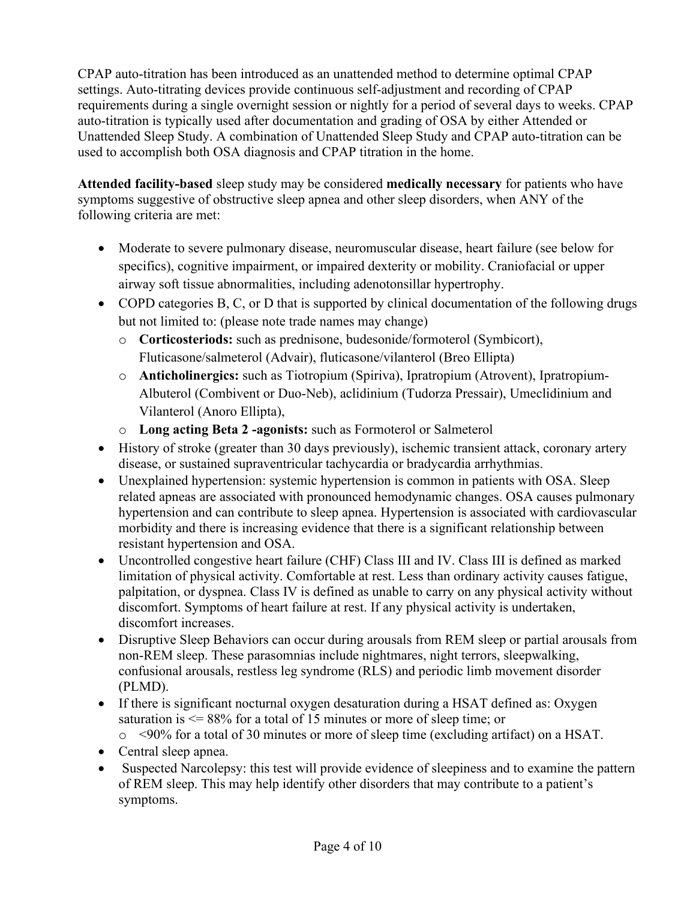CPAP auto-titration has been introduced as an unattended method to determine optimal CPAP settings. Auto-titrating devices provide continuous self-adjustment and recording of CPAP requirements during a single overnight session or nightly for a period of several days to weeks. CPAP auto-titration is typically used after documentation and grading of OSA by either Attended or Unattended Sleep Study. A combination of Unattended Sleep Study and CPAP auto-titration can be used to accomplish both OSA diagnosis and CPAP titration in the home.

**Attended facility-based** sleep study may be considered **medically necessary** for patients who have symptoms suggestive of obstructive sleep apnea and other sleep disorders, when ANY of the following criteria are met:

- Moderate to severe pulmonary disease, neuromuscular disease, heart failure (see below for specifics), cognitive impairment, or impaired dexterity or mobility. Craniofacial or upper airway soft tissue abnormalities, including adenotonsillar hypertrophy.
- COPD categories B, C, or D that is supported by clinical documentation of the following drugs but not limited to: (please note trade names may change)
	- o **Corticosteriods:** such as prednisone, budesonide/formoterol (Symbicort), Fluticasone/salmeterol (Advair), fluticasone/vilanterol (Breo Ellipta)
	- o **Anticholinergics:** such as Tiotropium (Spiriva), Ipratropium (Atrovent), Ipratropium-Albuterol (Combivent or Duo-Neb), aclidinium (Tudorza Pressair), Umeclidinium and Vilanterol (Anoro Ellipta),
	- o **Long acting Beta 2 -agonists:** such as Formoterol or Salmeterol
- History of stroke (greater than 30 days previously), ischemic transient attack, coronary artery disease, or sustained supraventricular tachycardia or bradycardia arrhythmias.
- Unexplained hypertension: systemic hypertension is common in patients with OSA. Sleep related apneas are associated with pronounced hemodynamic changes. OSA causes pulmonary hypertension and can contribute to sleep apnea. Hypertension is associated with cardiovascular morbidity and there is increasing evidence that there is a significant relationship between resistant hypertension and OSA.
- Uncontrolled congestive heart failure (CHF) Class III and IV. Class III is defined as marked limitation of physical activity. Comfortable at rest. Less than ordinary activity causes fatigue, palpitation, or dyspnea. Class IV is defined as unable to carry on any physical activity without discomfort. Symptoms of heart failure at rest. If any physical activity is undertaken, discomfort increases.
- Disruptive Sleep Behaviors can occur during arousals from REM sleep or partial arousals from non-REM sleep. These parasomnias include nightmares, night terrors, sleepwalking, confusional arousals, restless leg syndrome (RLS) and periodic limb movement disorder (PLMD).
- If there is significant nocturnal oxygen desaturation during a HSAT defined as: Oxygen saturation is  $\leq$  88% for a total of 15 minutes or more of sleep time; or

o <90% for a total of 30 minutes or more of sleep time (excluding artifact) on a HSAT.

- Central sleep apnea.
- Suspected Narcolepsy: this test will provide evidence of sleepiness and to examine the pattern of REM sleep. This may help identify other disorders that may contribute to a patient's symptoms.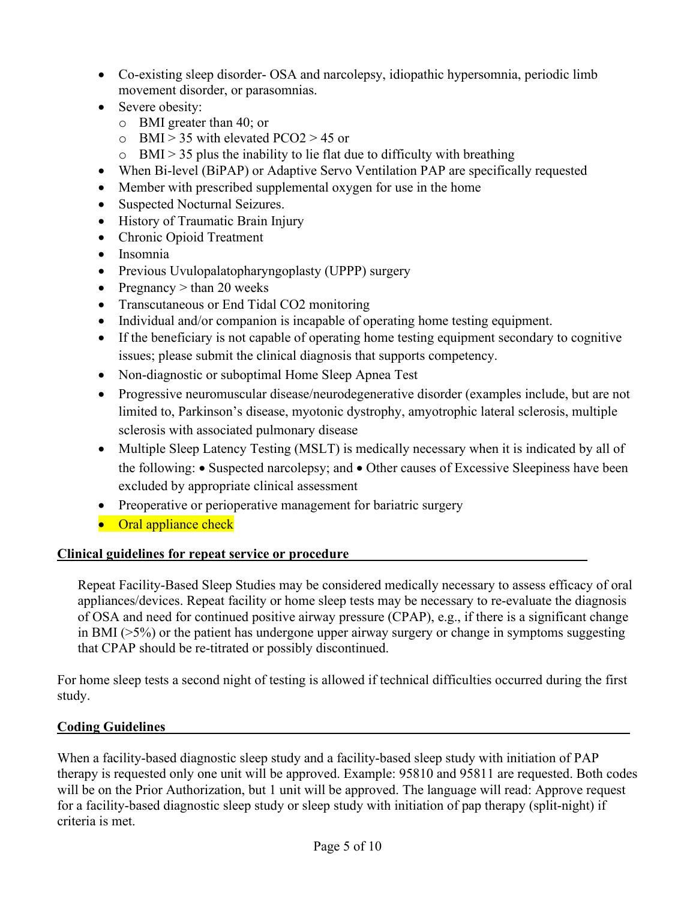- Co-existing sleep disorder- OSA and narcolepsy, idiopathic hypersomnia, periodic limb movement disorder, or parasomnias.
- Severe obesity:
	- o BMI greater than 40; or
	- $\circ$  BMI > 35 with elevated PCO2 > 45 or
	- $\circ$  BMI > 35 plus the inability to lie flat due to difficulty with breathing
- When Bi-level (BiPAP) or Adaptive Servo Ventilation PAP are specifically requested
- Member with prescribed supplemental oxygen for use in the home
- Suspected Nocturnal Seizures.
- History of Traumatic Brain Injury
- Chronic Opioid Treatment
- Insomnia
- Previous Uvulopalatopharyngoplasty (UPPP) surgery
- Pregnancy  $>$  than 20 weeks
- Transcutaneous or End Tidal CO2 monitoring
- Individual and/or companion is incapable of operating home testing equipment.
- If the beneficiary is not capable of operating home testing equipment secondary to cognitive issues; please submit the clinical diagnosis that supports competency.
- Non-diagnostic or suboptimal Home Sleep Apnea Test
- Progressive neuromuscular disease/neurodegenerative disorder (examples include, but are not limited to, Parkinson's disease, myotonic dystrophy, amyotrophic lateral sclerosis, multiple sclerosis with associated pulmonary disease
- Multiple Sleep Latency Testing (MSLT) is medically necessary when it is indicated by all of the following: • Suspected narcolepsy; and • Other causes of Excessive Sleepiness have been excluded by appropriate clinical assessment
- Preoperative or perioperative management for bariatric surgery
- Oral appliance check

# **Clinical guidelines for repeat service or procedure\_\_\_\_\_\_\_\_\_\_\_\_\_\_\_\_\_\_\_\_\_\_\_\_\_\_\_\_\_\_\_\_\_\_\_**

Repeat Facility-Based Sleep Studies may be considered medically necessary to assess efficacy of oral appliances/devices. Repeat facility or home sleep tests may be necessary to re-evaluate the diagnosis of OSA and need for continued positive airway pressure (CPAP), e.g., if there is a significant change in BMI (>5%) or the patient has undergone upper airway surgery or change in symptoms suggesting that CPAP should be re-titrated or possibly discontinued.

For home sleep tests a second night of testing is allowed if technical difficulties occurred during the first study.

# **Coding Guidelines**

When a facility-based diagnostic sleep study and a facility-based sleep study with initiation of PAP therapy is requested only one unit will be approved. Example: 95810 and 95811 are requested. Both codes will be on the Prior Authorization, but 1 unit will be approved. The language will read: Approve request for a facility-based diagnostic sleep study or sleep study with initiation of pap therapy (split-night) if criteria is met.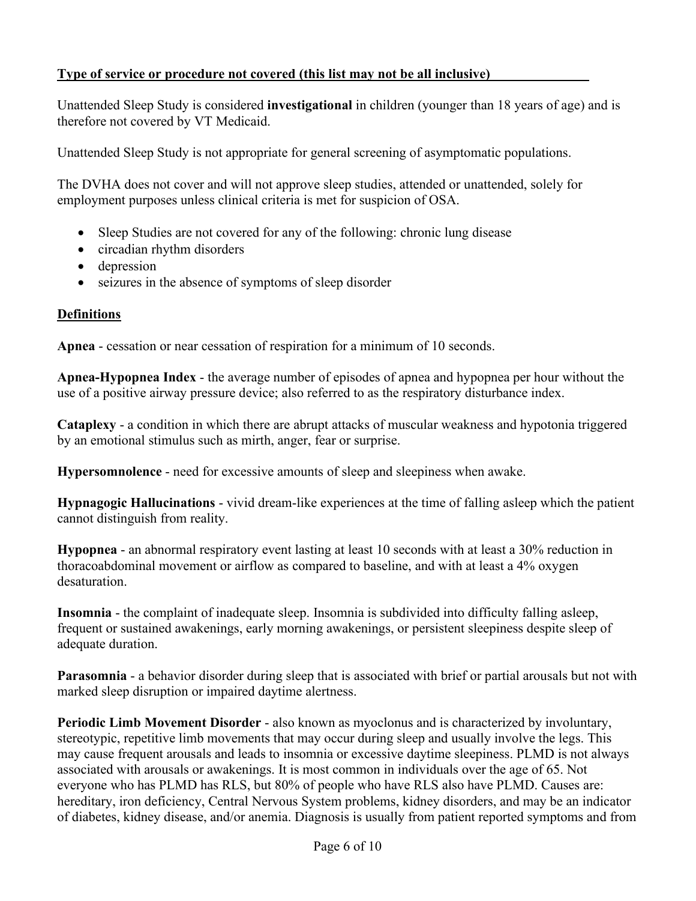### **Type of service or procedure not covered (this list may not be all inclusive)**

Unattended Sleep Study is considered **investigational** in children (younger than 18 years of age) and is therefore not covered by VT Medicaid.

Unattended Sleep Study is not appropriate for general screening of asymptomatic populations.

The DVHA does not cover and will not approve sleep studies, attended or unattended, solely for employment purposes unless clinical criteria is met for suspicion of OSA.

- Sleep Studies are not covered for any of the following: chronic lung disease
- circadian rhythm disorders
- depression
- seizures in the absence of symptoms of sleep disorder

### **Definitions**

**Apnea** - cessation or near cessation of respiration for a minimum of 10 seconds.

**Apnea-Hypopnea Index** - the average number of episodes of apnea and hypopnea per hour without the use of a positive airway pressure device; also referred to as the respiratory disturbance index.

**Cataplexy** - a condition in which there are abrupt attacks of muscular weakness and hypotonia triggered by an emotional stimulus such as mirth, anger, fear or surprise.

**Hypersomnolence** - need for excessive amounts of sleep and sleepiness when awake.

**Hypnagogic Hallucinations** - vivid dream-like experiences at the time of falling asleep which the patient cannot distinguish from reality.

**Hypopnea** - an abnormal respiratory event lasting at least 10 seconds with at least a 30% reduction in thoracoabdominal movement or airflow as compared to baseline, and with at least a 4% oxygen desaturation.

**Insomnia** - the complaint of inadequate sleep. Insomnia is subdivided into difficulty falling asleep, frequent or sustained awakenings, early morning awakenings, or persistent sleepiness despite sleep of adequate duration.

**Parasomnia** - a behavior disorder during sleep that is associated with brief or partial arousals but not with marked sleep disruption or impaired daytime alertness.

**Periodic Limb Movement Disorder** - also known as myoclonus and is characterized by involuntary, stereotypic, repetitive limb movements that may occur during sleep and usually involve the legs. This may cause frequent arousals and leads to insomnia or excessive daytime sleepiness. PLMD is not always associated with arousals or awakenings. It is most common in individuals over the age of 65. Not everyone who has PLMD has RLS, but 80% of people who have RLS also have PLMD. Causes are: hereditary, iron deficiency, Central Nervous System problems, kidney disorders, and may be an indicator of diabetes, kidney disease, and/or anemia. Diagnosis is usually from patient reported symptoms and from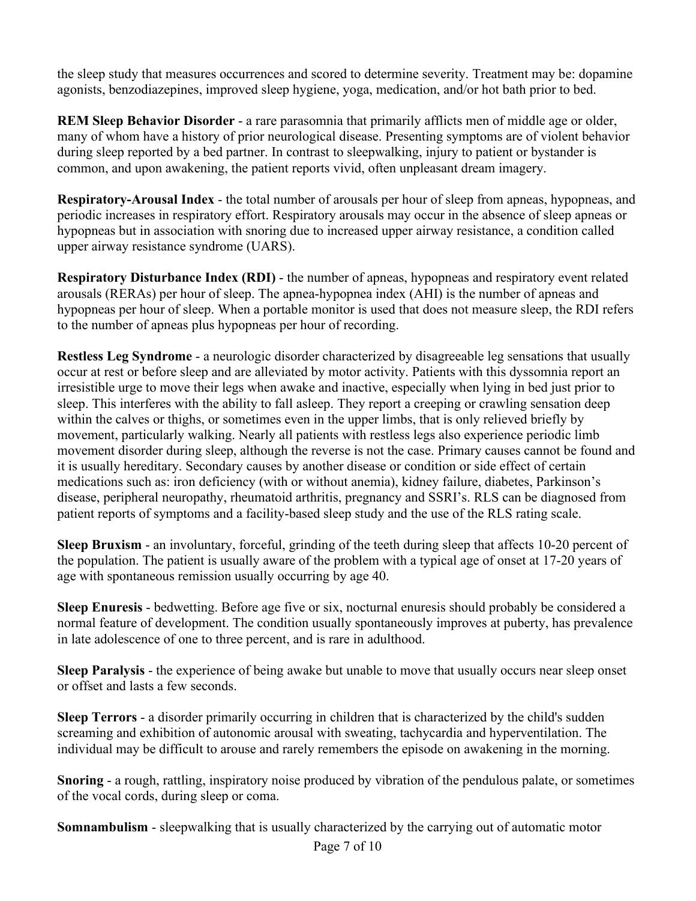the sleep study that measures occurrences and scored to determine severity. Treatment may be: dopamine agonists, benzodiazepines, improved sleep hygiene, yoga, medication, and/or hot bath prior to bed.

**REM Sleep Behavior Disorder** - a rare parasomnia that primarily afflicts men of middle age or older, many of whom have a history of prior neurological disease. Presenting symptoms are of violent behavior during sleep reported by a bed partner. In contrast to sleepwalking, injury to patient or bystander is common, and upon awakening, the patient reports vivid, often unpleasant dream imagery.

**Respiratory-Arousal Index** - the total number of arousals per hour of sleep from apneas, hypopneas, and periodic increases in respiratory effort. Respiratory arousals may occur in the absence of sleep apneas or hypopneas but in association with snoring due to increased upper airway resistance, a condition called upper airway resistance syndrome (UARS).

**Respiratory Disturbance Index (RDI)** - the number of apneas, hypopneas and respiratory event related arousals (RERAs) per hour of sleep. The apnea-hypopnea index (AHI) is the number of apneas and hypopneas per hour of sleep. When a portable monitor is used that does not measure sleep, the RDI refers to the number of apneas plus hypopneas per hour of recording.

**Restless Leg Syndrome** - a neurologic disorder characterized by disagreeable leg sensations that usually occur at rest or before sleep and are alleviated by motor activity. Patients with this dyssomnia report an irresistible urge to move their legs when awake and inactive, especially when lying in bed just prior to sleep. This interferes with the ability to fall asleep. They report a creeping or crawling sensation deep within the calves or thighs, or sometimes even in the upper limbs, that is only relieved briefly by movement, particularly walking. Nearly all patients with restless legs also experience periodic limb movement disorder during sleep, although the reverse is not the case. Primary causes cannot be found and it is usually hereditary. Secondary causes by another disease or condition or side effect of certain medications such as: iron deficiency (with or without anemia), kidney failure, diabetes, Parkinson's disease, peripheral neuropathy, rheumatoid arthritis, pregnancy and SSRI's. RLS can be diagnosed from patient reports of symptoms and a facility-based sleep study and the use of the RLS rating scale.

**Sleep Bruxism** - an involuntary, forceful, grinding of the teeth during sleep that affects 10-20 percent of the population. The patient is usually aware of the problem with a typical age of onset at 17-20 years of age with spontaneous remission usually occurring by age 40.

**Sleep Enuresis** - bedwetting. Before age five or six, nocturnal enuresis should probably be considered a normal feature of development. The condition usually spontaneously improves at puberty, has prevalence in late adolescence of one to three percent, and is rare in adulthood.

**Sleep Paralysis** - the experience of being awake but unable to move that usually occurs near sleep onset or offset and lasts a few seconds.

**Sleep Terrors** - a disorder primarily occurring in children that is characterized by the child's sudden screaming and exhibition of autonomic arousal with sweating, tachycardia and hyperventilation. The individual may be difficult to arouse and rarely remembers the episode on awakening in the morning.

**Snoring** - a rough, rattling, inspiratory noise produced by vibration of the pendulous palate, or sometimes of the vocal cords, during sleep or coma.

**Somnambulism** - sleepwalking that is usually characterized by the carrying out of automatic motor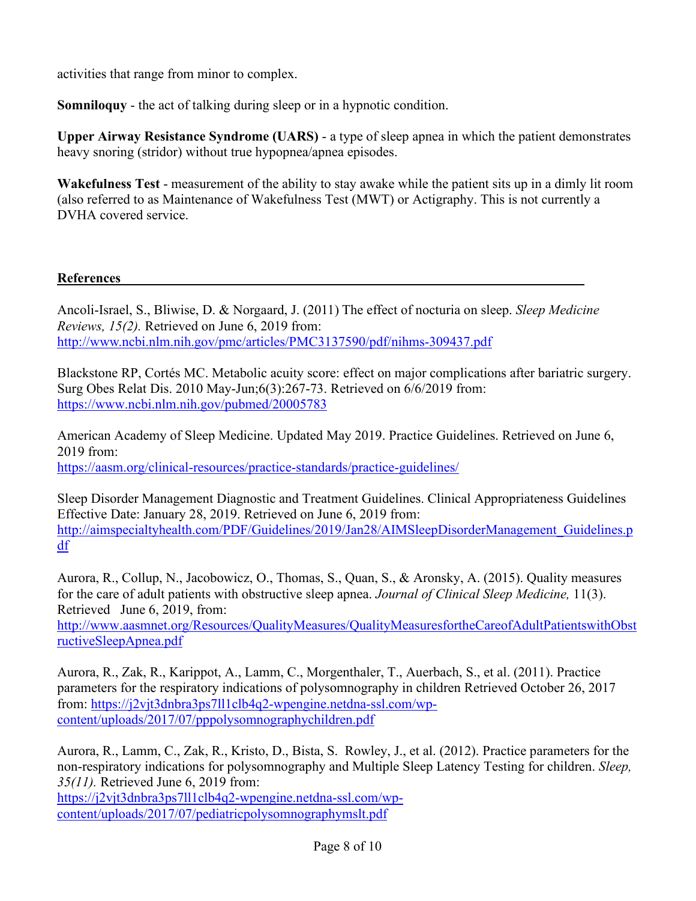activities that range from minor to complex.

**Somniloquy** - the act of talking during sleep or in a hypnotic condition.

**Upper Airway Resistance Syndrome (UARS)** - a type of sleep apnea in which the patient demonstrates heavy snoring (stridor) without true hypopnea/apnea episodes.

**Wakefulness Test** - measurement of the ability to stay awake while the patient sits up in a dimly lit room (also referred to as Maintenance of Wakefulness Test (MWT) or Actigraphy. This is not currently a DVHA covered service.

### **References**

Ancoli-Israel, S., Bliwise, D. & Norgaard, J. (2011) The effect of nocturia on sleep. *Sleep Medicine Reviews, 15(2).* Retrieved on June 6, 2019 from: <http://www.ncbi.nlm.nih.gov/pmc/articles/PMC3137590/pdf/nihms-309437.pdf>

Blackstone RP, Cortés MC. Metabolic acuity score: effect on major complications after bariatric surgery. Surg Obes Relat Dis. 2010 May-Jun;6(3):267-73. Retrieved on 6/6/2019 from: <https://www.ncbi.nlm.nih.gov/pubmed/20005783>

American Academy of Sleep Medicine. Updated May 2019. Practice Guidelines. Retrieved on June 6, 2019 from: <https://aasm.org/clinical-resources/practice-standards/practice-guidelines/>

Sleep Disorder Management Diagnostic and Treatment Guidelines. Clinical Appropriateness Guidelines Effective Date: January 28, 2019. Retrieved on June 6, 2019 from: [http://aimspecialtyhealth.com/PDF/Guidelines/2019/Jan28/AIMSleepDisorderManagement\\_Guidelines.p](http://aimspecialtyhealth.com/PDF/Guidelines/2019/Jan28/AIMSleepDisorderManagement_Guidelines.pdf) [df](http://aimspecialtyhealth.com/PDF/Guidelines/2019/Jan28/AIMSleepDisorderManagement_Guidelines.pdf)

Aurora, R., Collup, N., Jacobowicz, O., Thomas, S., Quan, S., & Aronsky, A. (2015). Quality measures for the care of adult patients with obstructive sleep apnea. *Journal of Clinical Sleep Medicine,* 11(3). Retrieved June 6, 2019, from:

[http://www.aasmnet.org/Resources/QualityMeasures/QualityMeasuresfortheCareofAdultPatientswithObst](http://www.aasmnet.org/Resources/QualityMeasures/QualityMeasuresfortheCareofAdultPatientswithObstructiveSleepApnea.pdf) [ructiveSleepApnea.pdf](http://www.aasmnet.org/Resources/QualityMeasures/QualityMeasuresfortheCareofAdultPatientswithObstructiveSleepApnea.pdf)

Aurora, R., Zak, R., Karippot, A., Lamm, C., Morgenthaler, T., Auerbach, S., et al. (2011). Practice parameters for the respiratory indications of polysomnography in children Retrieved October 26, 2017 from: [https://j2vjt3dnbra3ps7ll1clb4q2-wpengine.netdna-ssl.com/wp](https://j2vjt3dnbra3ps7ll1clb4q2-wpengine.netdna-ssl.com/wp-content/uploads/2017/07/pppolysomnographychildren.pdf)[content/uploads/2017/07/pppolysomnographychildren.pdf](https://j2vjt3dnbra3ps7ll1clb4q2-wpengine.netdna-ssl.com/wp-content/uploads/2017/07/pppolysomnographychildren.pdf)

Aurora, R., Lamm, C., Zak, R., Kristo, D., Bista, S. Rowley, J., et al. (2012). Practice parameters for the non-respiratory indications for polysomnography and Multiple Sleep Latency Testing for children. *Sleep, 35(11).* Retrieved June 6, 2019 from: [https://j2vjt3dnbra3ps7ll1clb4q2-wpengine.netdna-ssl.com/wp](https://j2vjt3dnbra3ps7ll1clb4q2-wpengine.netdna-ssl.com/wp-content/uploads/2017/07/pediatricpolysomnographymslt.pdf)[content/uploads/2017/07/pediatricpolysomnographymslt.pdf](https://j2vjt3dnbra3ps7ll1clb4q2-wpengine.netdna-ssl.com/wp-content/uploads/2017/07/pediatricpolysomnographymslt.pdf)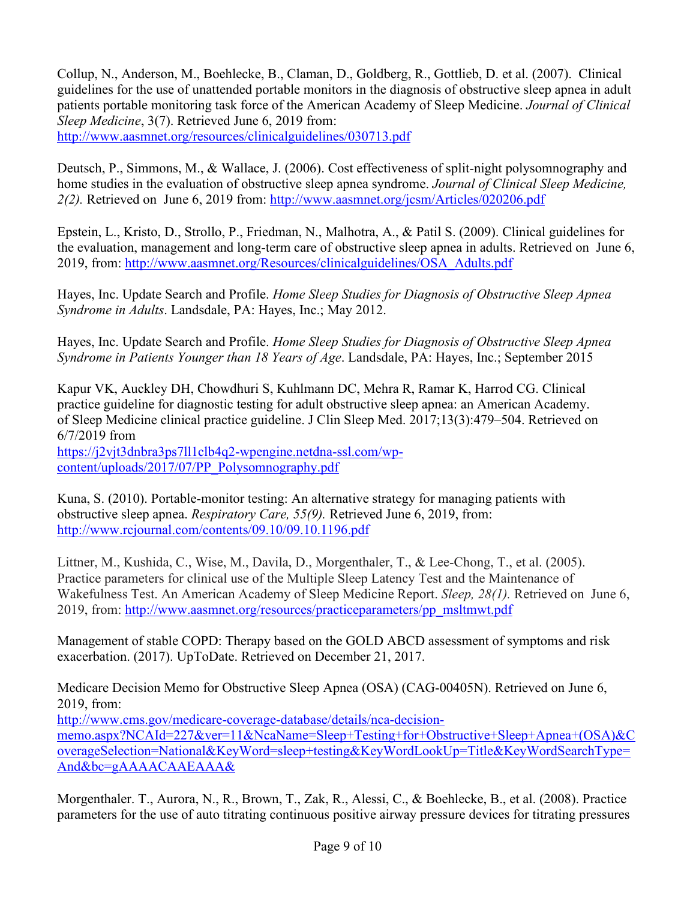Collup, N., Anderson, M., Boehlecke, B., Claman, D., Goldberg, R., Gottlieb, D. et al. (2007). Clinical guidelines for the use of unattended portable monitors in the diagnosis of obstructive sleep apnea in adult patients portable monitoring task force of the American Academy of Sleep Medicine. *Journal of Clinical Sleep Medicine*, 3(7). Retrieved June 6, 2019 from: <http://www.aasmnet.org/resources/clinicalguidelines/030713.pdf>

Deutsch, P., Simmons, M., & Wallace, J. (2006). Cost effectiveness of split-night polysomnography and home studies in the evaluation of obstructive sleep apnea syndrome. *Journal of Clinical Sleep Medicine, 2(2).* Retrieved on June 6, 2019 from:<http://www.aasmnet.org/jcsm/Articles/020206.pdf>

Epstein, L., Kristo, D., Strollo, P., Friedman, N., Malhotra, A., & Patil S. (2009). Clinical guidelines for the evaluation, management and long-term care of obstructive sleep apnea in adults. Retrieved on June 6, 2019, from: [http://www.aasmnet.org/Resources/clinicalguidelines/OSA\\_Adults.pdf](http://www.aasmnet.org/Resources/clinicalguidelines/OSA_Adults.pdf)

Hayes, Inc. Update Search and Profile. *Home Sleep Studies for Diagnosis of Obstructive Sleep Apnea Syndrome in Adults*. Landsdale, PA: Hayes, Inc.; May 2012.

Hayes, Inc. Update Search and Profile. *Home Sleep Studies for Diagnosis of Obstructive Sleep Apnea Syndrome in Patients Younger than 18 Years of Age*. Landsdale, PA: Hayes, Inc.; September 2015

Kapur VK, Auckley DH, Chowdhuri S, Kuhlmann DC, Mehra R, Ramar K, Harrod CG. Clinical practice guideline for diagnostic testing for adult obstructive sleep apnea: an American Academy. of Sleep Medicine clinical practice guideline. J Clin Sleep Med. 2017;13(3):479–504. Retrieved on 6/7/2019 from [https://j2vjt3dnbra3ps7ll1clb4q2-wpengine.netdna-ssl.com/wp-](https://j2vjt3dnbra3ps7ll1clb4q2-wpengine.netdna-ssl.com/wp-content/uploads/2017/07/PP_Polysomnography.pdf)

[content/uploads/2017/07/PP\\_Polysomnography.pdf](https://j2vjt3dnbra3ps7ll1clb4q2-wpengine.netdna-ssl.com/wp-content/uploads/2017/07/PP_Polysomnography.pdf)

Kuna, S. (2010). Portable-monitor testing: An alternative strategy for managing patients with obstructive sleep apnea. *Respiratory Care, 55(9).* Retrieved June 6, 2019, from: <http://www.rcjournal.com/contents/09.10/09.10.1196.pdf>

Littner, M., Kushida, C., Wise, M., Davila, D., Morgenthaler, T., & Lee-Chong, T., et al. (2005). Practice parameters for clinical use of the Multiple Sleep Latency Test and the Maintenance of Wakefulness Test. An American Academy of Sleep Medicine Report. *Sleep, 28(1).* Retrieved on June 6, 2019, from: [http://www.aasmnet.org/resources/practiceparameters/pp\\_msltmwt.pdf](http://www.aasmnet.org/resources/practiceparameters/pp_msltmwt.pdf)

Management of stable COPD: Therapy based on the GOLD ABCD assessment of symptoms and risk exacerbation. (2017). UpToDate. Retrieved on December 21, 2017.

Medicare Decision Memo for Obstructive Sleep Apnea (OSA) (CAG-00405N). Retrieved on June 6, 2019, from:

[http://www.cms.gov/medicare-coverage-database/details/nca-decision](http://www.cms.gov/medicare-coverage-database/details/nca-decision-memo.aspx?NCAId=227&ver=11&NcaName=Sleep+Testing+for+Obstructive+Sleep+Apnea+(OSA)&CoverageSelection=National&KeyWord=sleep+testing&KeyWordLookUp=Title&KeyWordSearchType=And&bc=gAAAACAAEAAA&)[memo.aspx?NCAId=227&ver=11&NcaName=Sleep+Testing+for+Obstructive+Sleep+Apnea+\(OSA\)&C](http://www.cms.gov/medicare-coverage-database/details/nca-decision-memo.aspx?NCAId=227&ver=11&NcaName=Sleep+Testing+for+Obstructive+Sleep+Apnea+(OSA)&CoverageSelection=National&KeyWord=sleep+testing&KeyWordLookUp=Title&KeyWordSearchType=And&bc=gAAAACAAEAAA&) [overageSelection=National&KeyWord=sleep+testing&KeyWordLookUp=Title&KeyWordSearchType=](http://www.cms.gov/medicare-coverage-database/details/nca-decision-memo.aspx?NCAId=227&ver=11&NcaName=Sleep+Testing+for+Obstructive+Sleep+Apnea+(OSA)&CoverageSelection=National&KeyWord=sleep+testing&KeyWordLookUp=Title&KeyWordSearchType=And&bc=gAAAACAAEAAA&) [And&bc=gAAAACAAEAAA&](http://www.cms.gov/medicare-coverage-database/details/nca-decision-memo.aspx?NCAId=227&ver=11&NcaName=Sleep+Testing+for+Obstructive+Sleep+Apnea+(OSA)&CoverageSelection=National&KeyWord=sleep+testing&KeyWordLookUp=Title&KeyWordSearchType=And&bc=gAAAACAAEAAA&)

Morgenthaler. T., Aurora, N., R., Brown, T., Zak, R., Alessi, C., & Boehlecke, B., et al. (2008). Practice parameters for the use of auto titrating continuous positive airway pressure devices for titrating pressures